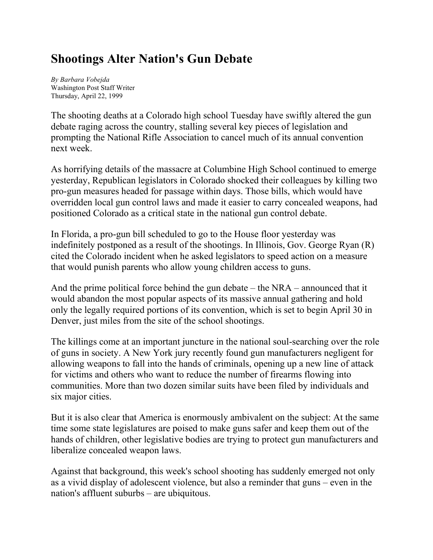## **Shootings Alter Nation's Gun Debate**

*By Barbara Vobejda* Washington Post Staff Writer Thursday, April 22, 1999

The shooting deaths at a Colorado high school Tuesday have swiftly altered the gun debate raging across the country, stalling several key pieces of legislation and prompting the National Rifle Association to cancel much of its annual convention next week.

As horrifying details of the massacre at Columbine High School continued to emerge yesterday, Republican legislators in Colorado shocked their colleagues by killing two pro-gun measures headed for passage within days. Those bills, which would have overridden local gun control laws and made it easier to carry concealed weapons, had positioned Colorado as a critical state in the national gun control debate.

In Florida, a pro-gun bill scheduled to go to the House floor yesterday was indefinitely postponed as a result of the shootings. In Illinois, Gov. George Ryan (R) cited the Colorado incident when he asked legislators to speed action on a measure that would punish parents who allow young children access to guns.

And the prime political force behind the gun debate – the NRA – announced that it would abandon the most popular aspects of its massive annual gathering and hold only the legally required portions of its convention, which is set to begin April 30 in Denver, just miles from the site of the school shootings.

The killings come at an important juncture in the national soul-searching over the role of guns in society. A New York jury recently found gun manufacturers negligent for allowing weapons to fall into the hands of criminals, opening up a new line of attack for victims and others who want to reduce the number of firearms flowing into communities. More than two dozen similar suits have been filed by individuals and six major cities.

But it is also clear that America is enormously ambivalent on the subject: At the same time some state legislatures are poised to make guns safer and keep them out of the hands of children, other legislative bodies are trying to protect gun manufacturers and liberalize concealed weapon laws.

Against that background, this week's school shooting has suddenly emerged not only as a vivid display of adolescent violence, but also a reminder that guns – even in the nation's affluent suburbs – are ubiquitous.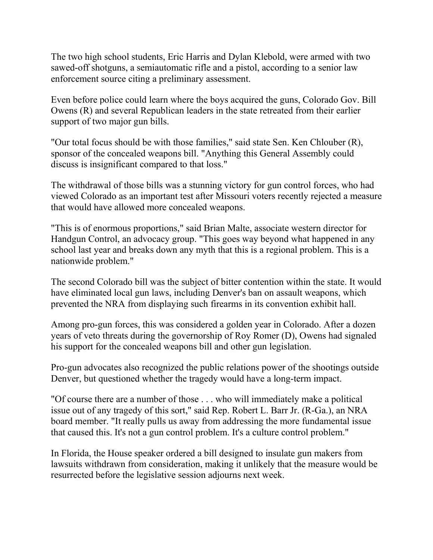The two high school students, Eric Harris and Dylan Klebold, were armed with two sawed-off shotguns, a semiautomatic rifle and a pistol, according to a senior law enforcement source citing a preliminary assessment.

Even before police could learn where the boys acquired the guns, Colorado Gov. Bill Owens (R) and several Republican leaders in the state retreated from their earlier support of two major gun bills.

"Our total focus should be with those families," said state Sen. Ken Chlouber (R), sponsor of the concealed weapons bill. "Anything this General Assembly could discuss is insignificant compared to that loss."

The withdrawal of those bills was a stunning victory for gun control forces, who had viewed Colorado as an important test after Missouri voters recently rejected a measure that would have allowed more concealed weapons.

"This is of enormous proportions," said Brian Malte, associate western director for Handgun Control, an advocacy group. "This goes way beyond what happened in any school last year and breaks down any myth that this is a regional problem. This is a nationwide problem."

The second Colorado bill was the subject of bitter contention within the state. It would have eliminated local gun laws, including Denver's ban on assault weapons, which prevented the NRA from displaying such firearms in its convention exhibit hall.

Among pro-gun forces, this was considered a golden year in Colorado. After a dozen years of veto threats during the governorship of Roy Romer (D), Owens had signaled his support for the concealed weapons bill and other gun legislation.

Pro-gun advocates also recognized the public relations power of the shootings outside Denver, but questioned whether the tragedy would have a long-term impact.

"Of course there are a number of those . . . who will immediately make a political issue out of any tragedy of this sort," said Rep. Robert L. Barr Jr. (R-Ga.), an NRA board member. "It really pulls us away from addressing the more fundamental issue that caused this. It's not a gun control problem. It's a culture control problem."

In Florida, the House speaker ordered a bill designed to insulate gun makers from lawsuits withdrawn from consideration, making it unlikely that the measure would be resurrected before the legislative session adjourns next week.